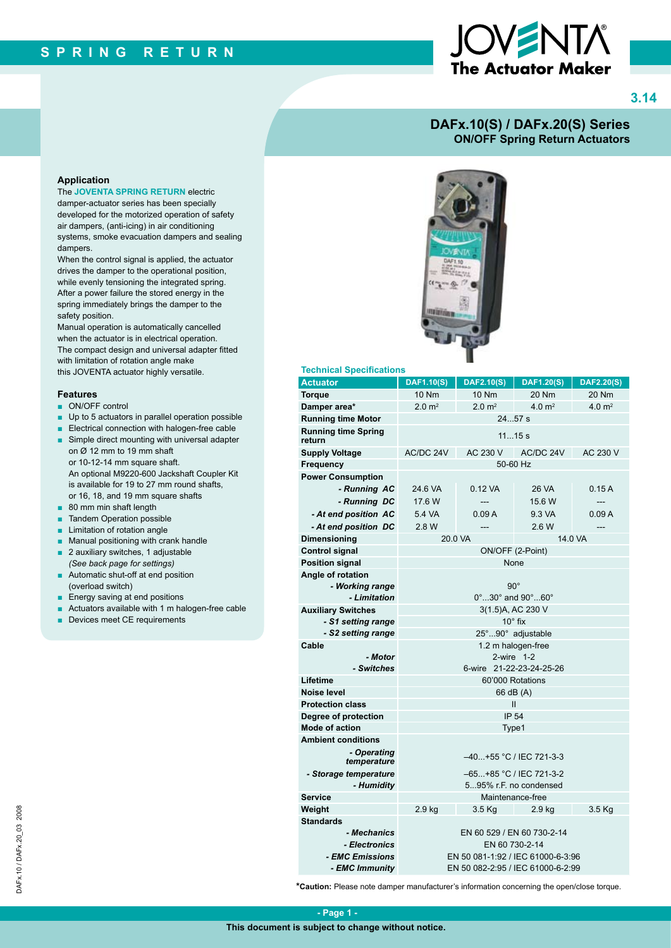# The Actuator Maker

**3.14**

### **DAFx.10(S) / DAFx.20(S) Series ON/OFF Spring Return Actuators**

### **Application**

The **JOVENTA SPRING RETURN** electric damper-actuator series has been specially developed for the motorized operation of safety air dampers, (anti-icing) in air conditioning systems, smoke evacuation dampers and sealing dampers.

When the control signal is applied, the actuator drives the damper to the operational position, while evenly tensioning the integrated spring. After a power failure the stored energy in the spring immediately brings the damper to the safety position.

Manual operation is automatically cancelled when the actuator is in electrical operation. The compact design and universal adapter fitted with limitation of rotation angle make this JOVENTA actuator highly versatile.

### **Features**

- ON/OFF control
- Up to 5 actuators in parallel operation possible
- Electrical connection with halogen-free cable
- Simple direct mounting with universal adapter on Ø 12 mm to 19 mm shaft or 10-12-14 mm square shaft. An optional M9220-600 Jackshaft Coupler Kit is available for 19 to 27 mm round shafts, or 16, 18, and 19 mm square shafts
- 80 mm min shaft length
- **Tandem Operation possible**
- Limitation of rotation angle
- Manual positioning with crank handle
- 2 auxiliary switches, 1 adjustable *(See back page for settings)*
- Automatic shut-off at end position (overload switch)
- Energy saving at end positions
- Actuators available with 1 m halogen-free cable
- Devices meet CE requirements



### **Technical Specifications**

| <b>Actuator</b>                      | <b>DAF1.10(S)</b>                                 | <b>DAF2.10(S)</b> | <b>DAF1.20(S)</b>  | <b>DAF2.20(S)</b>  |  |
|--------------------------------------|---------------------------------------------------|-------------------|--------------------|--------------------|--|
| <b>Torque</b>                        | 10 Nm                                             | 10 Nm             | 20 Nm              | 20 Nm              |  |
| Damper area*                         | 2.0 m <sup>2</sup>                                | $2.0 \text{ m}^2$ | 4.0 m <sup>2</sup> | 4.0 m <sup>2</sup> |  |
| <b>Running time Motor</b>            | 2457 s                                            |                   |                    |                    |  |
| <b>Running time Spring</b><br>return | 1115s                                             |                   |                    |                    |  |
| <b>Supply Voltage</b>                | AC/DC 24V                                         | AC 230 V          | AC/DC 24V          | AC 230 V           |  |
| Frequency                            | 50-60 Hz                                          |                   |                    |                    |  |
| <b>Power Consumption</b>             |                                                   |                   |                    |                    |  |
| - Running AC                         | 24.6 VA                                           | 0.12 VA           | 26 VA              | 0.15A              |  |
| - Running DC                         | 17.6 W                                            | $---$             | 15.6 W             | ---                |  |
| - At end position AC                 | 5.4 VA                                            | 0.09A             | 9.3 VA             | 0.09A              |  |
| - At end position DC                 | 2.8 W                                             |                   | 2.6 W              | ---                |  |
| Dimensioning                         | 20.0 VA                                           |                   |                    | 14.0 VA            |  |
| <b>Control signal</b>                | ON/OFF (2-Point)                                  |                   |                    |                    |  |
| <b>Position signal</b>               | None                                              |                   |                    |                    |  |
| Angle of rotation                    |                                                   |                   |                    |                    |  |
| - Working range                      | $90^{\circ}$                                      |                   |                    |                    |  |
| - Limitation                         | $0^\circ$ 30 $^\circ$ and 90 $^\circ$ 60 $^\circ$ |                   |                    |                    |  |
| <b>Auxiliary Switches</b>            | 3(1.5)A, AC 230 V                                 |                   |                    |                    |  |
| - S1 setting range                   | $10^\circ$ fix                                    |                   |                    |                    |  |
| - S2 setting range                   | 25°90° adjustable                                 |                   |                    |                    |  |
| Cable                                | 1.2 m halogen-free                                |                   |                    |                    |  |
| - Motor                              |                                                   | 2-wire 1-2        |                    |                    |  |
| - Switches                           | 6-wire 21-22-23-24-25-26                          |                   |                    |                    |  |
| Lifetime                             | 60'000 Rotations                                  |                   |                    |                    |  |
| Noise level                          | 66 dB (A)                                         |                   |                    |                    |  |
| <b>Protection class</b>              | $\mathbf{I}$                                      |                   |                    |                    |  |
| Degree of protection                 | IP 54                                             |                   |                    |                    |  |
| <b>Mode of action</b>                | Type1                                             |                   |                    |                    |  |
| <b>Ambient conditions</b>            |                                                   |                   |                    |                    |  |
| - Operating<br>temperature           | -40+55 °C / IEC 721-3-3                           |                   |                    |                    |  |
| - Storage temperature                | –65+85 °C / IEC 721-3-2                           |                   |                    |                    |  |
| - Humidity                           | 595% r.F. no condensed                            |                   |                    |                    |  |
| Service                              | Maintenance-free                                  |                   |                    |                    |  |
| Weight                               | 2.9 kg                                            | 3.5 Kg            | 2.9 kg             | $3.5$ Kg           |  |
| <b>Standards</b>                     |                                                   |                   |                    |                    |  |
| - Mechanics                          | EN 60 529 / EN 60 730-2-14                        |                   |                    |                    |  |
| - Electronics                        | EN 60 730-2-14                                    |                   |                    |                    |  |
| - EMC Emissions                      | EN 50 081-1:92 / IEC 61000-6-3:96                 |                   |                    |                    |  |
| - EMC Immunity                       | EN 50 082-2:95 / IEC 61000-6-2:99                 |                   |                    |                    |  |

**\*Caution:** Please note damper manufacturer's information concerning the open/close torque.

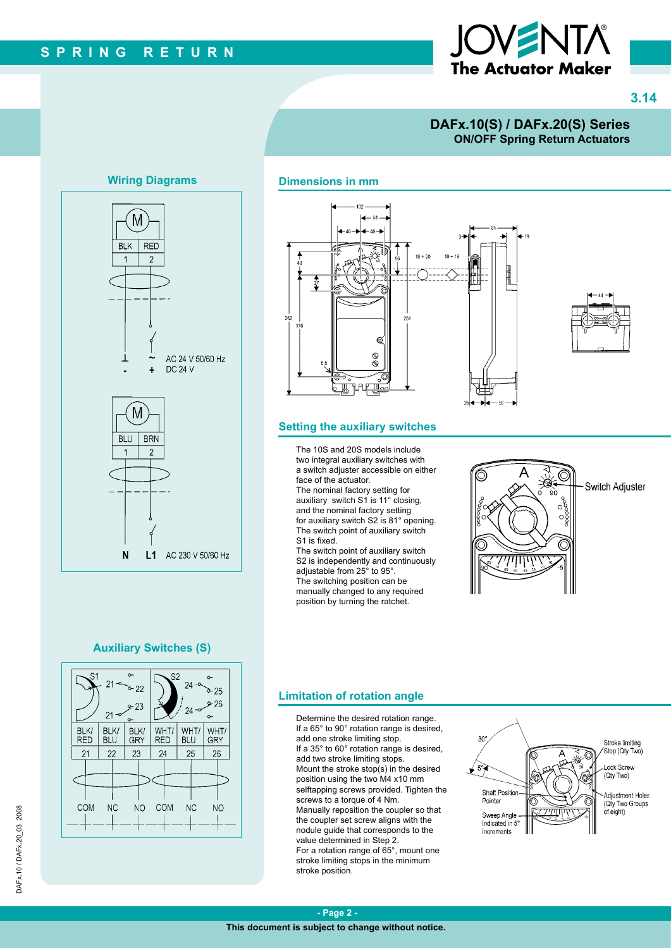# The Actuator Maker

**3.14**

### **DAFx.10(S) / DAFx.20(S) Series ON/OFF Spring Return Actuators**

### **Wiring Diagrams**



## $-51$  $+20$  $10 + 16$ 254 ම  $\otimes$ ЯAF

### **Setting the auxiliary switches**

**Dimensions in mm**

The 10S and 20S models include two integral auxiliary switches with a switch adjuster accessible on either face of the actuator.

The nominal factory setting for auxiliary switch S1 is 11° closing, and the nominal factory setting for auxiliary switch S2 is 81° opening. The switch point of auxiliary switch S1 is fixed.

The switch point of auxiliary switch S2 is independently and continuously adjustable from 25° to 95°. The switching position can be manually changed to any required position by turning the ratchet.



### **Auxiliary Switches (S)**



### **Limitation of rotation angle**

Determine the desired rotation range. If a 65° to 90° rotation range is desired, add one stroke limiting stop. If a 35° to 60° rotation range is desired, add two stroke limiting stops. Mount the stroke stop(s) in the desired position using the two M4 x10 mm selftapping screws provided. Tighten the screws to a torque of 4 Nm. Manually reposition the coupler so that the coupler set screw aligns with the nodule guide that corresponds to the value determined in Step 2. For a rotation range of 65°, mount one stroke limiting stops in the minimum stroke position.



DAFx.10/DAFx.20\_03\_2008 DAFx.10 / DAFx.20\_03 2008